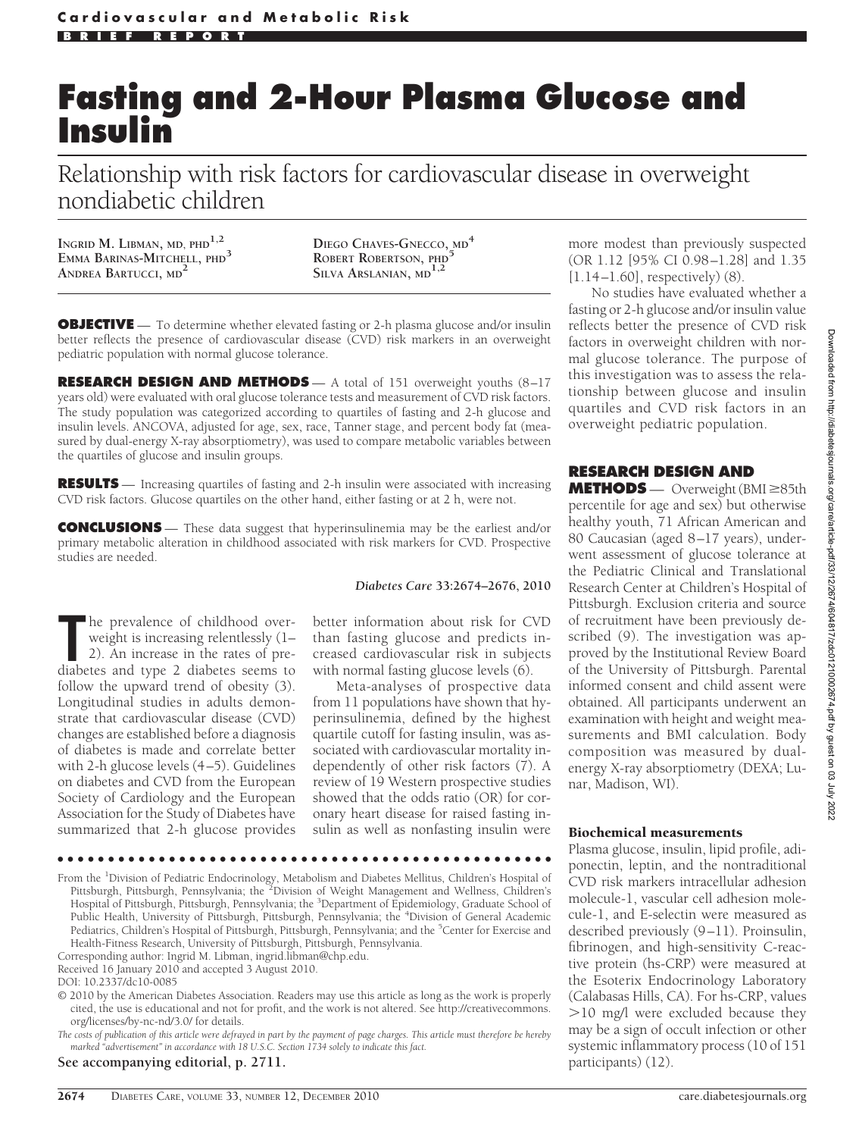# **Fasting and 2-Hour Plasma Glucose and Insulin**

Relationship with risk factors for cardiovascular disease in overweight nondiabetic children

**INGRID M. LIBMAN, MD, PHD1,2 EMMA BARINAS-MITCHELL, PHD<sup>3</sup> ANDREA BARTUCCI, MD<sup>2</sup>**

**DIEGO CHAVES-GNECCO, MD<sup>4</sup> ROBERT ROBERTSON, PHD<sup>5</sup> SILVA ARSLANIAN, MD1,2**

**OBJECTIVE** — To determine whether elevated fasting or 2-h plasma glucose and/or insulin better reflects the presence of cardiovascular disease (CVD) risk markers in an overweight pediatric population with normal glucose tolerance.

**RESEARCH DESIGN AND METHODS** — A total of 151 overweight youths (8–17 years old) were evaluated with oral glucose tolerance tests and measurement of CVD risk factors. The study population was categorized according to quartiles of fasting and 2-h glucose and insulin levels. ANCOVA, adjusted for age, sex, race, Tanner stage, and percent body fat (measured by dual-energy X-ray absorptiometry), was used to compare metabolic variables between the quartiles of glucose and insulin groups.

**RESULTS** — Increasing quartiles of fasting and 2-h insulin were associated with increasing CVD risk factors. Glucose quartiles on the other hand, either fasting or at 2 h, were not.

**CONCLUSIONS** — These data suggest that hyperinsulinemia may be the earliest and/or primary metabolic alteration in childhood associated with risk markers for CVD. Prospective studies are needed.

### *Diabetes Care* **33:2674–2676, 2010**

The prevalence of childhood over-<br>
weight is increasing relentlessly (1–<br>
2). An increase in the rates of pre-<br>
diabetes and type 2 diabetes seems to he prevalence of childhood overweight is increasing relentlessly (1– 2). An increase in the rates of prefollow the upward trend of obesity (3). Longitudinal studies in adults demonstrate that cardiovascular disease (CVD) changes are established before a diagnosis of diabetes is made and correlate better with 2-h glucose levels (4–5). Guidelines on diabetes and CVD from the European Society of Cardiology and the European Association for the Study of Diabetes have summarized that 2-h glucose provides

better information about risk for CVD than fasting glucose and predicts increased cardiovascular risk in subjects with normal fasting glucose levels (6).

Meta-analyses of prospective data from 11 populations have shown that hyperinsulinemia, defined by the highest quartile cutoff for fasting insulin, was associated with cardiovascular mortality independently of other risk factors  $(7)$ . A review of 19 Western prospective studies showed that the odds ratio (OR) for coronary heart disease for raised fasting insulin as well as nonfasting insulin were

●●●●●●●●●●●●●●●●●●●●●●●●●●●●●●●●●●●●●●●●●●●●●●●●●

From the <sup>1</sup>Division of Pediatric Endocrinology, Metabolism and Diabetes Mellitus, Children's Hospital of Pittsburgh, Pittsburgh, Pennsylvania; the <sup>3</sup>Division of Weight Management and Wellness, Children's Hospital of Pittsburgh, Pittsburgh, Pennsylvania; the <sup>3</sup>Department of Epidemiology, Graduate School of Public Health, University of Pittsburgh, Pittsburgh, Pennsylvania; the <sup>4</sup>Division of General Academic Pediatrics, Children's Hospital of Pittsburgh, Pittsburgh, Pennsylvania; and the <sup>5</sup>Center for Exercise and Health-Fitness Research, University of Pittsburgh, Pittsburgh, Pennsylvania.

Corresponding author: Ingrid M. Libman, ingrid.libman@chp.edu.

Received 16 January 2010 and accepted 3 August 2010.

DOI: 10.2337/dc10-0085

© 2010 by the American Diabetes Association. Readers may use this article as long as the work is properly cited, the use is educational and not for profit, and the work is not altered. See http://creativecommons. org/licenses/by-nc-nd/3.0/ for details.

*The costs of publication of this article were defrayed in part by the payment of page charges. This article must therefore be hereby marked "advertisement" in accordance with 18 U.S.C. Section 1734 solely to indicate this fact.*

### **See accompanying editorial, p. 2711.**

more modest than previously suspected (OR 1.12 [95% CI 0.98–1.28] and 1.35  $[1.14-1.60]$ , respectively)  $(8)$ .

No studies have evaluated whether a fasting or 2-h glucose and/or insulin value reflects better the presence of CVD risk factors in overweight children with normal glucose tolerance. The purpose of this investigation was to assess the relationship between glucose and insulin quartiles and CVD risk factors in an overweight pediatric population.

## **RESEARCH DESIGN AND**

**METHODS** — Overweight (BMI ≥85th percentile for age and sex) but otherwise healthy youth, 71 African American and 80 Caucasian (aged 8–17 years), underwent assessment of glucose tolerance at the Pediatric Clinical and Translational Research Center at Children's Hospital of Pittsburgh. Exclusion criteria and source of recruitment have been previously described (9). The investigation was approved by the Institutional Review Board of the University of Pittsburgh. Parental informed consent and child assent were obtained. All participants underwent an examination with height and weight measurements and BMI calculation. Body composition was measured by dualenergy X-ray absorptiometry (DEXA; Lunar, Madison, WI).

## Biochemical measurements

Plasma glucose, insulin, lipid profile, adiponectin, leptin, and the nontraditional CVD risk markers intracellular adhesion molecule-1, vascular cell adhesion molecule-1, and E-selectin were measured as described previously (9–11). Proinsulin, fibrinogen, and high-sensitivity C-reactive protein (hs-CRP) were measured at the Esoterix Endocrinology Laboratory (Calabasas Hills, CA). For hs-CRP, values 10 mg/l were excluded because they may be a sign of occult infection or other systemic inflammatory process (10 of 151 participants) (12).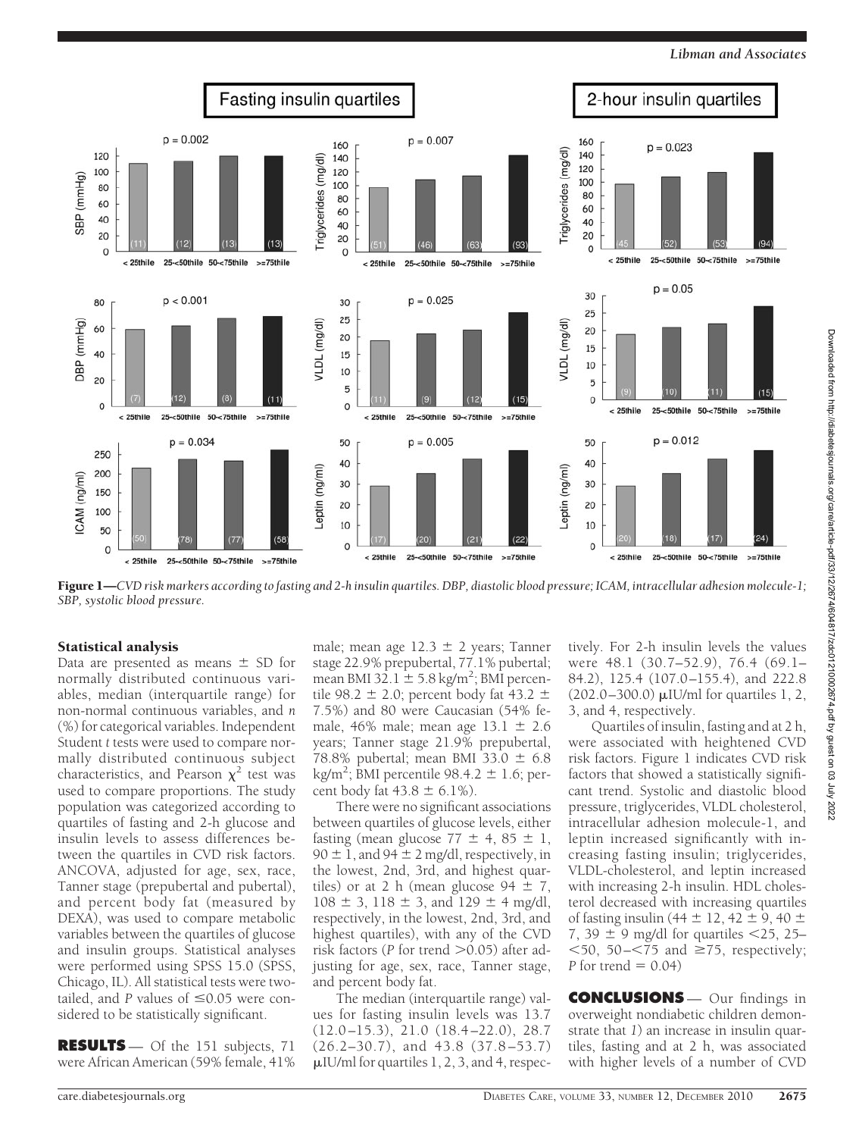*Libman and Associates*



Figure 1—*CVD risk markers according to fasting and 2-h insulin quartiles. DBP, diastolic blood pressure; ICAM, intracellular adhesion molecule-1; SBP, systolic blood pressure.*

# Statistical analysis

Data are presented as means  $\pm$  SD for normally distributed continuous variables, median (interquartile range) for non-normal continuous variables, and *n* (%) for categorical variables. Independent Student *t* tests were used to compare normally distributed continuous subject characteristics, and Pearson  $\chi^2$  test was used to compare proportions. The study population was categorized according to quartiles of fasting and 2-h glucose and insulin levels to assess differences between the quartiles in CVD risk factors. ANCOVA, adjusted for age, sex, race, Tanner stage (prepubertal and pubertal), and percent body fat (measured by DEXA), was used to compare metabolic variables between the quartiles of glucose and insulin groups. Statistical analyses were performed using SPSS 15.0 (SPSS, Chicago, IL). All statistical tests were twotailed, and  $P$  values of  $\leq 0.05$  were considered to be statistically significant.

**RESULTS** — Of the 151 subjects, 71 were African American (59% female, 41%

male; mean age  $12.3 \pm 2$  years; Tanner stage 22.9% prepubertal, 77.1% pubertal; mean BMI 32.1  $\pm$  5.8 kg/m<sup>2</sup>; BMI percentile 98.2  $\pm$  2.0; percent body fat 43.2  $\pm$ 7.5%) and 80 were Caucasian (54% female,  $46\%$  male; mean age  $13.1 \pm 2.6$ years; Tanner stage 21.9% prepubertal, 78.8% pubertal; mean BMI 33.0  $\pm$  6.8 kg/m<sup>2</sup>; BMI percentile 98.4.2  $\pm$  1.6; percent body fat  $43.8 \pm 6.1\%$ ).

There were no significant associations between quartiles of glucose levels, either fasting (mean glucose  $77 \pm 4$ ,  $85 \pm 1$ ,  $90 \pm 1$ , and  $94 \pm 2$  mg/dl, respectively, in the lowest, 2nd, 3rd, and highest quartiles) or at 2 h (mean glucose  $94 \pm 7$ ,  $108 \pm 3$ ,  $118 \pm 3$ , and  $129 \pm 4$  mg/dl, respectively, in the lowest, 2nd, 3rd, and highest quartiles), with any of the CVD risk factors ( $P$  for trend  $> 0.05$ ) after adjusting for age, sex, race, Tanner stage, and percent body fat.

The median (interquartile range) values for fasting insulin levels was 13.7 (12.0–15.3), 21.0 (18.4–22.0), 28.7 (26.2–30.7), and 43.8 (37.8–53.7)  $\mu$ IU/ml for quartiles 1, 2, 3, and 4, respectively. For 2-h insulin levels the values were 48.1 (30.7–52.9), 76.4 (69.1– 84.2), 125.4 (107.0–155.4), and 222.8  $(202.0 - 300.0) \mu$ IU/ml for quartiles 1, 2, 3, and 4, respectively.

Quartiles of insulin, fasting and at 2 h, were associated with heightened CVD risk factors. Figure 1 indicates CVD risk factors that showed a statistically significant trend. Systolic and diastolic blood pressure, triglycerides, VLDL cholesterol, intracellular adhesion molecule-1, and leptin increased significantly with increasing fasting insulin; triglycerides, VLDL-cholesterol, and leptin increased with increasing 2-h insulin. HDL cholesterol decreased with increasing quartiles of fasting insulin (44  $\pm$  12, 42  $\pm$  9, 40  $\pm$ 7, 39  $\pm$  9 mg/dl for quartiles  $\leq$ 25, 25–  $50, 50 - 75$  and  $\geq 75$ , respectively; *P* for trend  $= 0.04$ 

**CONCLUSIONS** — Our findings in overweight nondiabetic children demonstrate that *1*) an increase in insulin quartiles, fasting and at 2 h, was associated with higher levels of a number of CVD